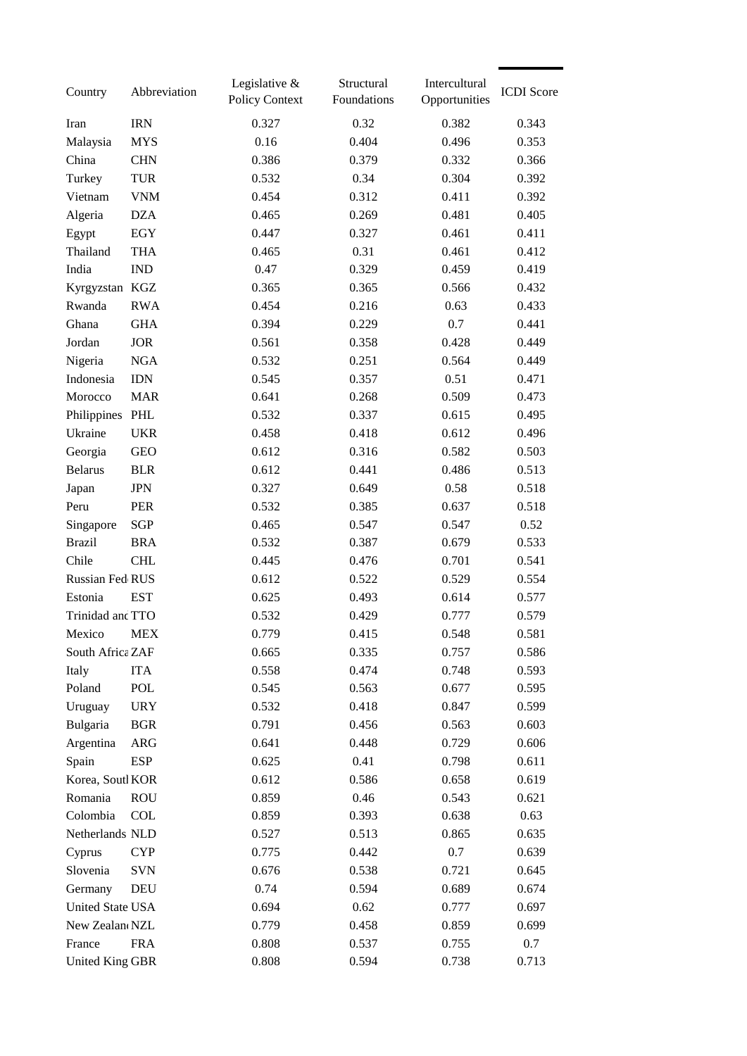| Country                | Abbreviation | Legislative $&$<br><b>Policy Context</b> | Structural<br>Foundations | Intercultural<br>Opportunities | <b>ICDI</b> Score |
|------------------------|--------------|------------------------------------------|---------------------------|--------------------------------|-------------------|
| Iran                   | <b>IRN</b>   | 0.327                                    | 0.32                      | 0.382                          | 0.343             |
| Malaysia               | <b>MYS</b>   | 0.16                                     | 0.404                     | 0.496                          | 0.353             |
| China                  | <b>CHN</b>   | 0.386                                    | 0.379                     | 0.332                          | 0.366             |
| Turkey                 | <b>TUR</b>   | 0.532                                    | 0.34                      | 0.304                          | 0.392             |
| Vietnam                | <b>VNM</b>   | 0.454                                    | 0.312                     | 0.411                          | 0.392             |
| Algeria                | <b>DZA</b>   | 0.465                                    | 0.269                     | 0.481                          | 0.405             |
| Egypt                  | <b>EGY</b>   | 0.447                                    | 0.327                     | 0.461                          | 0.411             |
| Thailand               | <b>THA</b>   | 0.465                                    | 0.31                      | 0.461                          | 0.412             |
| India                  | <b>IND</b>   | 0.47                                     | 0.329                     | 0.459                          | 0.419             |
| Kyrgyzstan KGZ         |              | 0.365                                    | 0.365                     | 0.566                          | 0.432             |
| Rwanda                 | <b>RWA</b>   | 0.454                                    | 0.216                     | 0.63                           | 0.433             |
| Ghana                  | <b>GHA</b>   | 0.394                                    | 0.229                     | 0.7                            | 0.441             |
| Jordan                 | <b>JOR</b>   | 0.561                                    | 0.358                     | 0.428                          | 0.449             |
| Nigeria                | <b>NGA</b>   | 0.532                                    | 0.251                     | 0.564                          | 0.449             |
| Indonesia              | <b>IDN</b>   | 0.545                                    | 0.357                     | 0.51                           | 0.471             |
| Morocco                | <b>MAR</b>   | 0.641                                    | 0.268                     | 0.509                          | 0.473             |
| Philippines PHL        |              | 0.532                                    | 0.337                     | 0.615                          | 0.495             |
| Ukraine                | <b>UKR</b>   | 0.458                                    | 0.418                     | 0.612                          | 0.496             |
| Georgia                | <b>GEO</b>   | 0.612                                    | 0.316                     | 0.582                          | 0.503             |
| <b>Belarus</b>         | <b>BLR</b>   | 0.612                                    | 0.441                     | 0.486                          | 0.513             |
| Japan                  | <b>JPN</b>   | 0.327                                    | 0.649                     | 0.58                           | 0.518             |
| Peru                   | <b>PER</b>   | 0.532                                    | 0.385                     | 0.637                          | 0.518             |
| Singapore              | SGP          | 0.465                                    | 0.547                     | 0.547                          | 0.52              |
| <b>Brazil</b>          | <b>BRA</b>   | 0.532                                    | 0.387                     | 0.679                          | 0.533             |
| Chile                  | <b>CHL</b>   | 0.445                                    | 0.476                     | 0.701                          | 0.541             |
| Russian Fed RUS        |              | 0.612                                    | 0.522                     | 0.529                          | 0.554             |
| Estonia                | <b>EST</b>   | 0.625                                    | 0.493                     | 0.614                          | 0.577             |
| Trinidad and TTO       |              | 0.532                                    | 0.429                     | 0.777                          | 0.579             |
| Mexico                 | MEX          | 0.779                                    | 0.415                     | 0.548                          | 0.581             |
| South Africa ZAF       |              | 0.665                                    | 0.335                     | 0.757                          | 0.586             |
| Italy                  | <b>ITA</b>   | 0.558                                    | 0.474                     | 0.748                          | 0.593             |
| Poland                 | POL          | 0.545                                    | 0.563                     | 0.677                          | 0.595             |
| Uruguay                | <b>URY</b>   | 0.532                                    | 0.418                     | 0.847                          | 0.599             |
| Bulgaria               | <b>BGR</b>   | 0.791                                    | 0.456                     | 0.563                          | 0.603             |
| Argentina              | <b>ARG</b>   | 0.641                                    | 0.448                     | 0.729                          | 0.606             |
| Spain                  | <b>ESP</b>   | 0.625                                    | 0.41                      | 0.798                          | 0.611             |
| Korea, Soutl KOR       |              | 0.612                                    | 0.586                     | 0.658                          | 0.619             |
| Romania                | <b>ROU</b>   | 0.859                                    | 0.46                      | 0.543                          | 0.621             |
| Colombia               | <b>COL</b>   | 0.859                                    | 0.393                     | 0.638                          | 0.63              |
| Netherlands NLD        |              | 0.527                                    | 0.513                     | 0.865                          | 0.635             |
| Cyprus                 | <b>CYP</b>   | 0.775                                    | 0.442                     | 0.7                            | 0.639             |
| Slovenia               | <b>SVN</b>   | 0.676                                    | 0.538                     | 0.721                          | 0.645             |
| Germany                | DEU          | 0.74                                     | 0.594                     | 0.689                          | 0.674             |
| United State USA       |              | 0.694                                    | 0.62                      | 0.777                          | 0.697             |
| New Zealan NZL         |              | 0.779                                    | 0.458                     | 0.859                          | 0.699             |
| France                 | <b>FRA</b>   | 0.808                                    | 0.537                     | 0.755                          | 0.7               |
| <b>United King GBR</b> |              | 0.808                                    | 0.594                     | 0.738                          | 0.713             |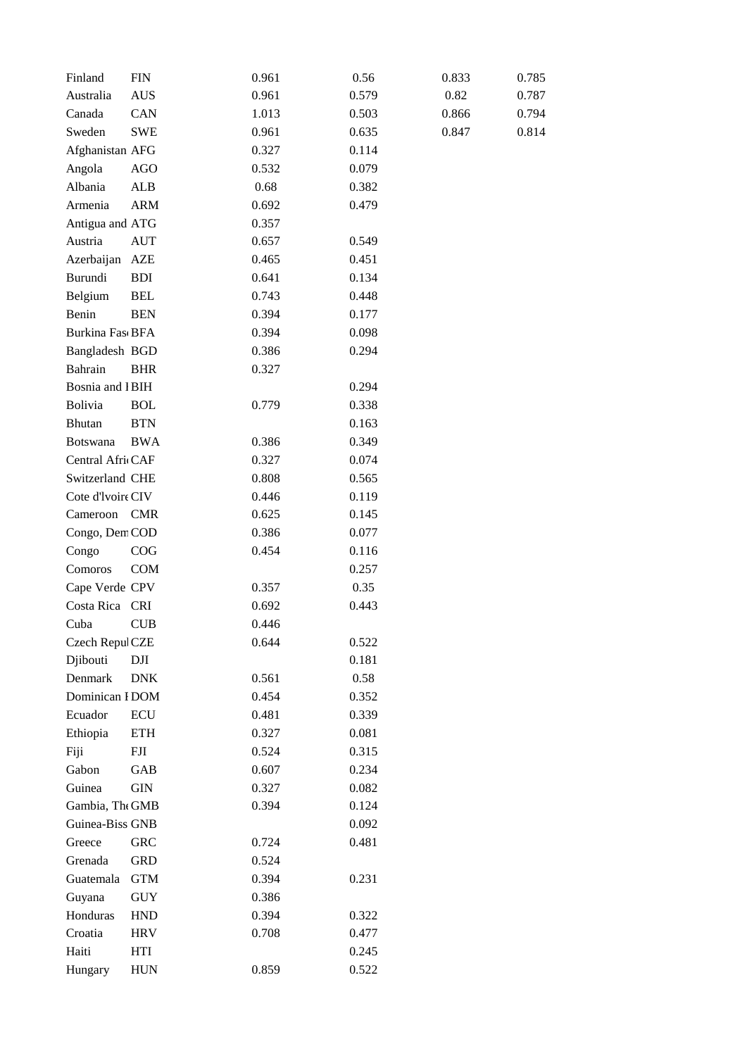| Finland                | <b>FIN</b>  | 0.961 | 0.56  | 0.833 | 0.785 |
|------------------------|-------------|-------|-------|-------|-------|
| Australia              | <b>AUS</b>  | 0.961 | 0.579 | 0.82  | 0.787 |
| Canada                 | CAN         | 1.013 | 0.503 | 0.866 | 0.794 |
| Sweden                 | <b>SWE</b>  | 0.961 | 0.635 | 0.847 | 0.814 |
| Afghanistan AFG        |             | 0.327 | 0.114 |       |       |
| Angola                 | <b>AGO</b>  | 0.532 | 0.079 |       |       |
| Albania                | ALB         | 0.68  | 0.382 |       |       |
| Armenia                | <b>ARM</b>  | 0.692 | 0.479 |       |       |
| Antigua and ATG        |             | 0.357 |       |       |       |
| Austria                | <b>AUT</b>  | 0.657 | 0.549 |       |       |
| Azerbaijan             | AZE         | 0.465 | 0.451 |       |       |
| Burundi                | <b>BDI</b>  | 0.641 | 0.134 |       |       |
| Belgium                | <b>BEL</b>  | 0.743 | 0.448 |       |       |
| Benin                  | <b>BEN</b>  | 0.394 | 0.177 |       |       |
| <b>Burkina FascBFA</b> |             | 0.394 | 0.098 |       |       |
| Bangladesh BGD         |             | 0.386 | 0.294 |       |       |
| Bahrain                | <b>BHR</b>  | 0.327 |       |       |       |
| <b>Bosnia</b> and IBIH |             |       | 0.294 |       |       |
| Bolivia                | <b>BOL</b>  | 0.779 | 0.338 |       |       |
| Bhutan                 | <b>BTN</b>  |       | 0.163 |       |       |
| Botswana               | <b>BWA</b>  | 0.386 | 0.349 |       |       |
| Central AfricCAF       |             | 0.327 | 0.074 |       |       |
| Switzerland CHE        |             | 0.808 | 0.565 |       |       |
| Cote d'Ivoire CIV      |             | 0.446 | 0.119 |       |       |
| Cameroon CMR           |             | 0.625 | 0.145 |       |       |
| Congo, Dem COD         |             | 0.386 | 0.077 |       |       |
| Congo                  | COG         | 0.454 | 0.116 |       |       |
| Comoros                | <b>COM</b>  |       | 0.257 |       |       |
| Cape Verde CPV         |             | 0.357 | 0.35  |       |       |
| Costa Rica CRI         |             | 0.692 | 0.443 |       |       |
| Cuba                   | <b>CUB</b>  | 0.446 |       |       |       |
| Czech RepulCZE         |             | 0.644 | 0.522 |       |       |
| Djibouti               | DJI         |       | 0.181 |       |       |
| Denmark                | <b>DNK</b>  | 0.561 | 0.58  |       |       |
| Dominican I DOM        |             | 0.454 | 0.352 |       |       |
| Ecuador                | <b>ECU</b>  | 0.481 | 0.339 |       |       |
| Ethiopia               | <b>ETH</b>  | 0.327 | 0.081 |       |       |
| Fiji                   | ${\rm FJI}$ | 0.524 | 0.315 |       |       |
| Gabon                  | GAB         | 0.607 | 0.234 |       |       |
| Guinea                 | <b>GIN</b>  | 0.327 | 0.082 |       |       |
| Gambia, The GMB        |             | 0.394 | 0.124 |       |       |
| Guinea-Biss GNB        |             |       | 0.092 |       |       |
| Greece                 | <b>GRC</b>  | 0.724 | 0.481 |       |       |
| Grenada                | <b>GRD</b>  | 0.524 |       |       |       |
| Guatemala              | <b>GTM</b>  | 0.394 | 0.231 |       |       |
| Guyana                 | <b>GUY</b>  | 0.386 |       |       |       |
| Honduras               | <b>HND</b>  | 0.394 | 0.322 |       |       |
| Croatia                | <b>HRV</b>  | 0.708 | 0.477 |       |       |
| Haiti                  | HTI         |       | 0.245 |       |       |
| Hungary                | <b>HUN</b>  | 0.859 | 0.522 |       |       |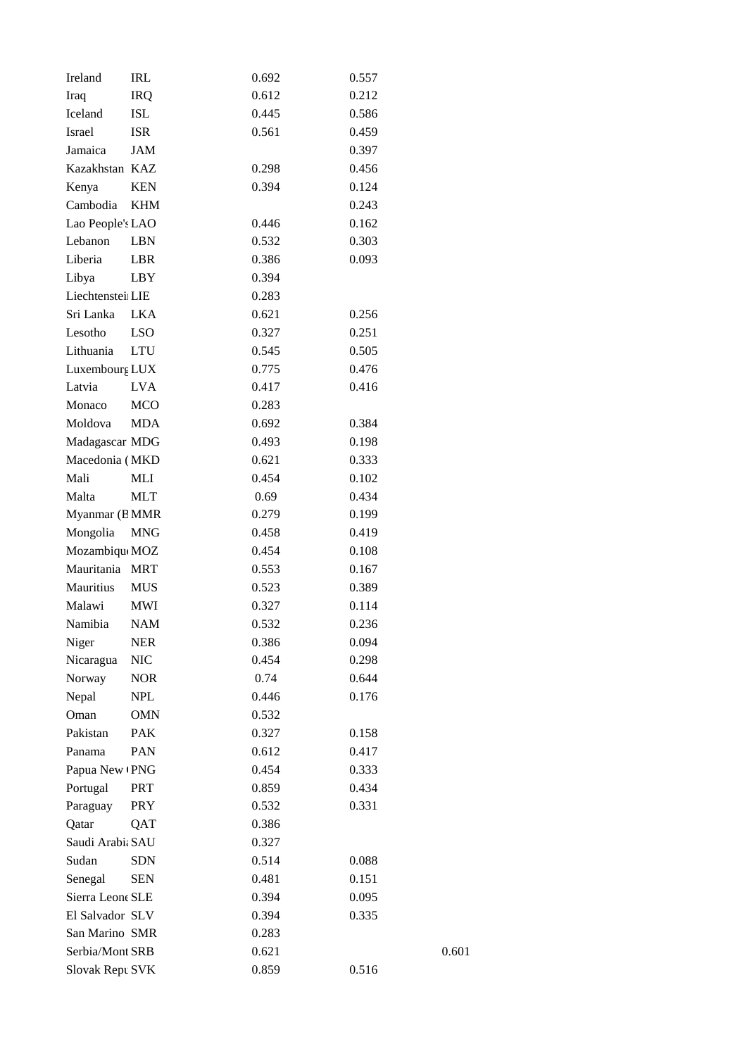| Ireland          | IRL        | 0.692 | 0.557 |       |
|------------------|------------|-------|-------|-------|
| Iraq             | <b>IRQ</b> | 0.612 | 0.212 |       |
| Iceland          | ISL        | 0.445 | 0.586 |       |
| Israel           | ISR        | 0.561 | 0.459 |       |
| Jamaica          | JAM        |       | 0.397 |       |
| Kazakhstan KAZ   |            | 0.298 | 0.456 |       |
| Kenya            | <b>KEN</b> | 0.394 | 0.124 |       |
| Cambodia         | <b>KHM</b> |       | 0.243 |       |
| Lao People's LAO |            | 0.446 | 0.162 |       |
| Lebanon          | <b>LBN</b> | 0.532 | 0.303 |       |
| Liberia          | LBR        | 0.386 | 0.093 |       |
| Libya            | LBY        | 0.394 |       |       |
| Liechtenstei LIE |            | 0.283 |       |       |
| Sri Lanka        | <b>LKA</b> | 0.621 | 0.256 |       |
| Lesotho          | <b>LSO</b> | 0.327 | 0.251 |       |
| Lithuania        | <b>LTU</b> | 0.545 | 0.505 |       |
| Luxembourg LUX   |            | 0.775 | 0.476 |       |
| Latvia           | <b>LVA</b> | 0.417 | 0.416 |       |
| Monaco           | <b>MCO</b> | 0.283 |       |       |
| Moldova          | <b>MDA</b> | 0.692 | 0.384 |       |
| Madagascar MDG   |            | 0.493 | 0.198 |       |
| Macedonia (MKD   |            | 0.621 | 0.333 |       |
| Mali             | MLI        | 0.454 | 0.102 |       |
| Malta            | <b>MLT</b> | 0.69  | 0.434 |       |
| Myanmar (BMMR    |            | 0.279 | 0.199 |       |
| Mongolia         | <b>MNG</b> | 0.458 | 0.419 |       |
| Mozambique MOZ   |            | 0.454 | 0.108 |       |
| Mauritania       | <b>MRT</b> | 0.553 | 0.167 |       |
| Mauritius        | MUS        | 0.523 | 0.389 |       |
| Malawi           | MWI        | 0.327 | 0.114 |       |
| Namibia          | <b>NAM</b> | 0.532 | 0.236 |       |
| Niger            | <b>NER</b> | 0.386 | 0.094 |       |
| Nicaragua        | $\rm NIC$  | 0.454 | 0.298 |       |
| Norway           | <b>NOR</b> | 0.74  | 0.644 |       |
| Nepal            | <b>NPL</b> | 0.446 | 0.176 |       |
| Oman             | <b>OMN</b> | 0.532 |       |       |
| Pakistan         |            |       |       |       |
|                  | <b>PAK</b> | 0.327 | 0.158 |       |
| Panama           | PAN        | 0.612 | 0.417 |       |
| Papua New (PNG   |            | 0.454 | 0.333 |       |
| Portugal         | <b>PRT</b> | 0.859 | 0.434 |       |
| Paraguay         | <b>PRY</b> | 0.532 | 0.331 |       |
| Qatar            | QAT        | 0.386 |       |       |
| Saudi Arabi: SAU |            | 0.327 |       |       |
| Sudan            | <b>SDN</b> | 0.514 | 0.088 |       |
| Senegal          | SEN        | 0.481 | 0.151 |       |
| Sierra Leone SLE |            | 0.394 | 0.095 |       |
| El Salvador SLV  |            | 0.394 | 0.335 |       |
| San Marino SMR   |            | 0.283 |       |       |
| Serbia/Mont SRB  |            | 0.621 |       | 0.601 |
| Slovak Repu SVK  |            | 0.859 | 0.516 |       |